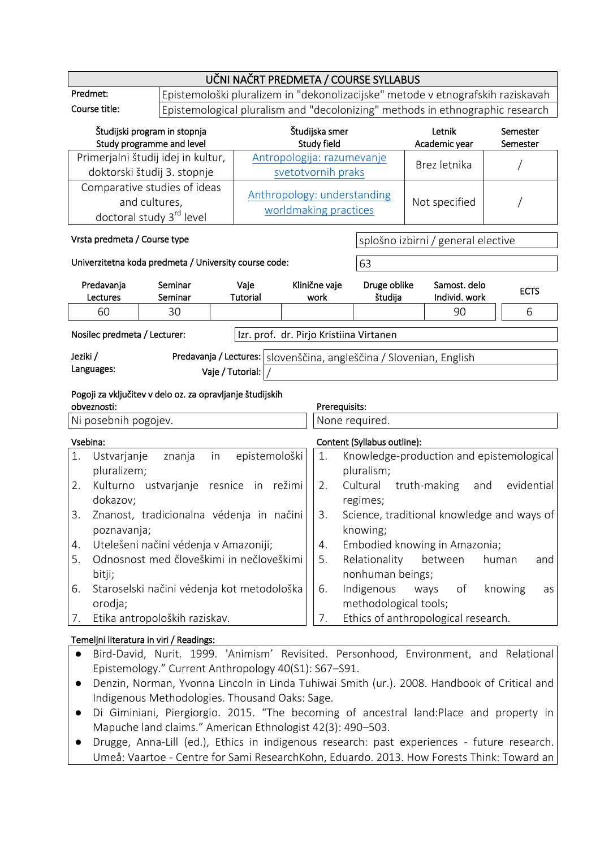|                                                                                                                                          |                                                                                                          | UČNI NAČRT PREDMETA / COURSE SYLLABUS                                                                                                                            |                                                      |                            |                                         |                                                                                       |                   |
|------------------------------------------------------------------------------------------------------------------------------------------|----------------------------------------------------------------------------------------------------------|------------------------------------------------------------------------------------------------------------------------------------------------------------------|------------------------------------------------------|----------------------------|-----------------------------------------|---------------------------------------------------------------------------------------|-------------------|
| Predmet:                                                                                                                                 |                                                                                                          |                                                                                                                                                                  |                                                      |                            |                                         |                                                                                       |                   |
| Course title:                                                                                                                            |                                                                                                          | Epistemološki pluralizem in "dekonolizacijske" metode v etnografskih raziskavah<br>Epistemological pluralism and "decolonizing" methods in ethnographic research |                                                      |                            |                                         |                                                                                       |                   |
| Študijski program in stopnja<br>Study programme and level                                                                                |                                                                                                          | Študijska smer<br>Study field                                                                                                                                    |                                                      | Letnik<br>Academic year    | Semester<br>Semester                    |                                                                                       |                   |
|                                                                                                                                          | Primerjalni študij idej in kultur,                                                                       |                                                                                                                                                                  |                                                      | Antropologija: razumevanje |                                         | Brez letnika                                                                          |                   |
|                                                                                                                                          | doktorski študij 3. stopnje                                                                              |                                                                                                                                                                  |                                                      | svetotvornih praks         |                                         |                                                                                       |                   |
| Comparative studies of ideas<br>and cultures,<br>doctoral study 3 <sup>rd</sup> level                                                    |                                                                                                          |                                                                                                                                                                  | Anthropology: understanding<br>worldmaking practices |                            | Not specified                           |                                                                                       |                   |
| Vrsta predmeta / Course type                                                                                                             |                                                                                                          |                                                                                                                                                                  |                                                      |                            |                                         | splošno izbirni / general elective                                                    |                   |
|                                                                                                                                          | Univerzitetna koda predmeta / University course code:                                                    |                                                                                                                                                                  |                                                      |                            | 63                                      |                                                                                       |                   |
| Predavanja                                                                                                                               | Seminar                                                                                                  | Vaje                                                                                                                                                             |                                                      | Klinične vaje              | Druge oblike                            | Samost. delo                                                                          | <b>ECTS</b>       |
| Lectures                                                                                                                                 | Seminar                                                                                                  | Tutorial                                                                                                                                                         |                                                      | work                       | študija                                 | Individ. work                                                                         |                   |
| 60                                                                                                                                       | 30                                                                                                       |                                                                                                                                                                  |                                                      |                            |                                         | 90                                                                                    | 6                 |
| Nosilec predmeta / Lecturer:                                                                                                             |                                                                                                          |                                                                                                                                                                  |                                                      |                            | Izr. prof. dr. Pirjo Kristiina Virtanen |                                                                                       |                   |
| Jeziki /                                                                                                                                 |                                                                                                          |                                                                                                                                                                  |                                                      |                            |                                         | Predavanja / Lectures: Slovenščina, angleščina / Slovenian, English                   |                   |
| Languages:                                                                                                                               |                                                                                                          | Vaje / Tutorial:                                                                                                                                                 |                                                      |                            |                                         |                                                                                       |                   |
|                                                                                                                                          |                                                                                                          |                                                                                                                                                                  |                                                      |                            |                                         |                                                                                       |                   |
| obveznosti:                                                                                                                              | Pogoji za vključitev v delo oz. za opravljanje študijskih                                                |                                                                                                                                                                  |                                                      | Prerequisits:              |                                         |                                                                                       |                   |
| Ni posebnih pogojev.                                                                                                                     |                                                                                                          |                                                                                                                                                                  |                                                      |                            | None required.                          |                                                                                       |                   |
| Vsebina:                                                                                                                                 |                                                                                                          |                                                                                                                                                                  |                                                      |                            |                                         |                                                                                       |                   |
| 1.<br>Ustvarjanje                                                                                                                        | znanja<br>in                                                                                             | epistemološki                                                                                                                                                    |                                                      | 1.                         | Content (Syllabus outline):             | Knowledge-production and epistemological                                              |                   |
| pluralizem;                                                                                                                              |                                                                                                          |                                                                                                                                                                  |                                                      |                            | pluralism;                              |                                                                                       |                   |
| 2.                                                                                                                                       | Kulturno ustvarjanje                                                                                     | resnice in režimi                                                                                                                                                |                                                      | 2.                         | Cultural                                | truth-making                                                                          | evidential<br>and |
| dokazov;                                                                                                                                 |                                                                                                          |                                                                                                                                                                  |                                                      |                            | regimes;                                |                                                                                       |                   |
| 3.                                                                                                                                       | Znanost, tradicionalna védenja in načini                                                                 |                                                                                                                                                                  |                                                      | 3.                         |                                         | Science, traditional knowledge and ways of                                            |                   |
| poznavanja;                                                                                                                              |                                                                                                          |                                                                                                                                                                  |                                                      |                            | knowing;                                |                                                                                       |                   |
| 4.                                                                                                                                       | Utelešeni načini védenja v Amazoniji;                                                                    |                                                                                                                                                                  |                                                      | 4.                         |                                         | Embodied knowing in Amazonia;                                                         |                   |
| 5.                                                                                                                                       | Odnosnost med človeškimi in nečloveškimi                                                                 |                                                                                                                                                                  |                                                      | 5.                         | Relationality                           | between                                                                               | human<br>and      |
| bitji;                                                                                                                                   |                                                                                                          |                                                                                                                                                                  |                                                      |                            | nonhuman beings;                        |                                                                                       |                   |
| 6.                                                                                                                                       | Staroselski načini védenja kot metodološka                                                               |                                                                                                                                                                  |                                                      | 6.                         | Indigenous                              | ways<br>оf                                                                            | knowing<br>as     |
| orodja;                                                                                                                                  |                                                                                                          |                                                                                                                                                                  |                                                      | 7.                         | methodological tools;                   |                                                                                       |                   |
| 7.                                                                                                                                       | Etika antropoloških raziskav.                                                                            |                                                                                                                                                                  |                                                      |                            |                                         | Ethics of anthropological research.                                                   |                   |
|                                                                                                                                          | Temeljni literatura in viri / Readings:                                                                  |                                                                                                                                                                  |                                                      |                            |                                         |                                                                                       |                   |
| $\bullet$                                                                                                                                |                                                                                                          |                                                                                                                                                                  |                                                      |                            |                                         | Bird-David, Nurit. 1999. 'Animism' Revisited. Personhood, Environment, and Relational |                   |
|                                                                                                                                          | Epistemology." Current Anthropology 40(S1): S67-S91.                                                     |                                                                                                                                                                  |                                                      |                            |                                         |                                                                                       |                   |
|                                                                                                                                          | Denzin, Norman, Yvonna Lincoln in Linda Tuhiwai Smith (ur.). 2008. Handbook of Critical and<br>$\bullet$ |                                                                                                                                                                  |                                                      |                            |                                         |                                                                                       |                   |
| Indigenous Methodologies. Thousand Oaks: Sage.<br>Di Giminiani, Piergiorgio. 2015. "The becoming of ancestral land:Place and property in |                                                                                                          |                                                                                                                                                                  |                                                      |                            |                                         |                                                                                       |                   |
| Mapuche land claims." American Ethnologist 42(3): 490-503.                                                                               |                                                                                                          |                                                                                                                                                                  |                                                      |                            |                                         |                                                                                       |                   |

● Drugge, Anna-Lill (ed.), Ethics in indigenous research: past experiences - future research. Umeå: Vaartoe - Centre for Sami ResearchKohn, Eduardo. 2013. How Forests Think: Toward an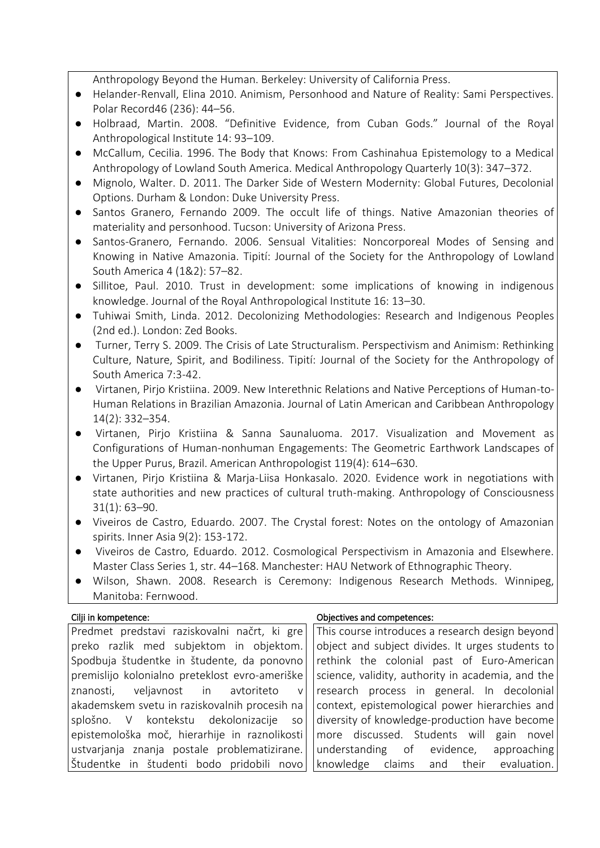Anthropology Beyond the Human. Berkeley: University of California Press.

- Helander-Renvall, Elina 2010. Animism, Personhood and Nature of Reality: Sami Perspectives. Polar Record46 (236): 44–56.
- Holbraad, Martin. 2008. "Definitive Evidence, from Cuban Gods." Journal of the Royal Anthropological Institute 14: 93–109.
- McCallum, Cecilia. 1996. The Body that Knows: From Cashinahua Epistemology to a Medical Anthropology of Lowland South America. Medical Anthropology Quarterly 10(3): 347–372.
- Mignolo, Walter. D. 2011. The Darker Side of Western Modernity: Global Futures, Decolonial Options. Durham & London: Duke University Press.
- Santos Granero, Fernando 2009. The occult life of things. Native Amazonian theories of materiality and personhood. Tucson: University of Arizona Press.
- Santos-Granero, Fernando. 2006. Sensual Vitalities: Noncorporeal Modes of Sensing and Knowing in Native Amazonia. Tipití: Journal of the Society for the Anthropology of Lowland South America 4 (1&2): 57–82.
- Sillitoe, Paul. 2010. Trust in development: some implications of knowing in indigenous knowledge. Journal of the Royal Anthropological Institute 16: 13–30.
- Tuhiwai Smith, Linda. 2012. Decolonizing Methodologies: Research and Indigenous Peoples (2nd ed.). London: Zed Books.
- Turner, Terry S. 2009. The Crisis of Late Structuralism. Perspectivism and Animism: Rethinking Culture, Nature, Spirit, and Bodiliness. Tipití: Journal of the Society for the Anthropology of South America 7:3-42.
- Virtanen, Pirjo Kristiina. 2009. New Interethnic Relations and Native Perceptions of Human-to-Human Relations in Brazilian Amazonia. Journal of Latin American and Caribbean Anthropology 14(2): 332–354.
- Virtanen, Pirjo Kristiina & Sanna Saunaluoma. 2017. Visualization and Movement as Configurations of Human-nonhuman Engagements: The Geometric Earthwork Landscapes of the Upper Purus, Brazil. American Anthropologist 119(4): 614–630.
- Virtanen, Pirjo Kristiina & Marja-Liisa Honkasalo. 2020. Evidence work in negotiations with state authorities and new practices of cultural truth-making. Anthropology of Consciousness 31(1): 63–90.
- Viveiros de Castro, Eduardo. 2007. The Crystal forest: Notes on the ontology of Amazonian spirits. Inner Asia 9(2): 153-172.
- Viveiros de Castro, Eduardo. 2012. Cosmological Perspectivism in Amazonia and Elsewhere. Master Class Series 1, str. 44–168. Manchester: HAU Network of Ethnographic Theory.
- Wilson, Shawn. 2008. Research is Ceremony: Indigenous Research Methods. Winnipeg, Manitoba: Fernwood.

## Cilji in kompetence: Objectives and competences:

| Predmet predstavi raziskovalni načrt, ki gre   | This course introduces a research design beyond                                                                    |
|------------------------------------------------|--------------------------------------------------------------------------------------------------------------------|
| preko razlik med subjektom in objektom.        | object and subject divides. It urges students to                                                                   |
| Spodbuja študentke in študente, da ponovno     | rethink the colonial past of Euro-American                                                                         |
| premislijo kolonialno preteklost evro-ameriške | science, validity, authority in academia, and the                                                                  |
| znanosti, veljavnost in avtoriteto v           | research process in general. In decolonial                                                                         |
|                                                | $\vert$ akademskem svetu in raziskovalnih procesih na $\vert \vert$ context, epistemological power hierarchies and |
| splošno. V kontekstu dekolonizacije so         | diversity of knowledge-production have become                                                                      |
|                                                | epistemološka moč, hierarhije in raznolikosti   more discussed. Students will gain novel                           |
|                                                | ustvarjanja znanja postale problematizirane. Understanding of evidence, approaching                                |
| Študentke in študenti bodo pridobili novo      | knowledge claims and their evaluation.                                                                             |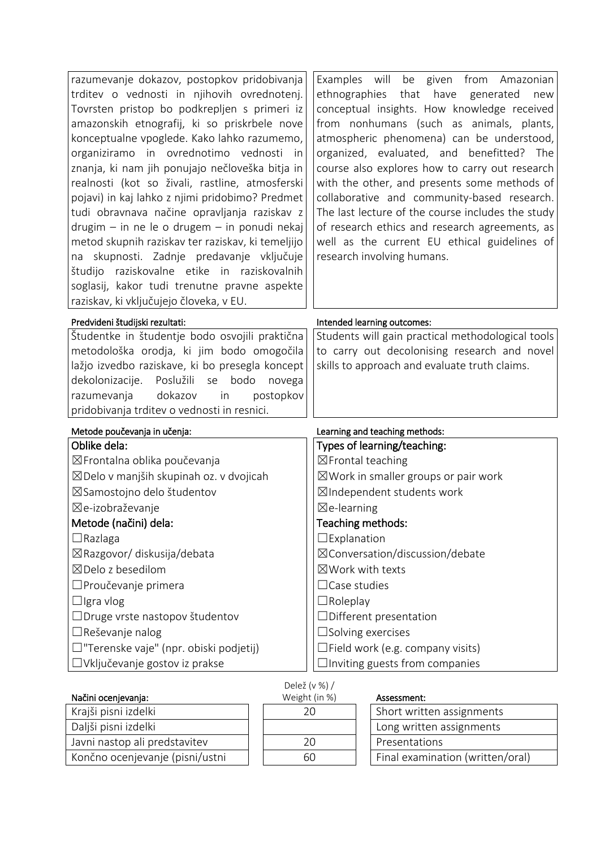| razumevanje dokazov, postopkov pridobivanja<br>trditev o vednosti in njihovih ovrednotenj.<br>Tovrsten pristop bo podkrepljen s primeri iz<br>amazonskih etnografij, ki so priskrbele nove<br>konceptualne vpoglede. Kako lahko razumemo,<br>organiziramo in ovrednotimo vednosti<br>in<br>znanja, ki nam jih ponujajo nečloveška bitja in<br>realnosti (kot so živali, rastline, atmosferski<br>pojavi) in kaj lahko z njimi pridobimo? Predmet<br>tudi obravnava načine opravljanja raziskav z<br>$drugim - in$ ne le o drugem $-$ in ponudi nekaj<br>metod skupnih raziskav ter raziskav, ki temeljijo<br>skupnosti. Zadnje predavanje vključuje<br>na<br>študijo raziskovalne etike in raziskovalnih<br>soglasij, kakor tudi trenutne pravne aspekte | Examples will be given from Amazonian<br>ethnographies<br>that have generated<br>new<br>conceptual insights. How knowledge received<br>from nonhumans (such as animals, plants,<br>atmospheric phenomena) can be understood,<br>organized, evaluated, and benefitted? The<br>course also explores how to carry out research<br>with the other, and presents some methods of<br>collaborative and community-based research.<br>The last lecture of the course includes the study<br>of research ethics and research agreements, as<br>well as the current EU ethical guidelines of<br>research involving humans. |  |  |
|----------------------------------------------------------------------------------------------------------------------------------------------------------------------------------------------------------------------------------------------------------------------------------------------------------------------------------------------------------------------------------------------------------------------------------------------------------------------------------------------------------------------------------------------------------------------------------------------------------------------------------------------------------------------------------------------------------------------------------------------------------|-----------------------------------------------------------------------------------------------------------------------------------------------------------------------------------------------------------------------------------------------------------------------------------------------------------------------------------------------------------------------------------------------------------------------------------------------------------------------------------------------------------------------------------------------------------------------------------------------------------------|--|--|
| raziskav, ki vključujejo človeka, v EU.<br>Predvideni študijski rezultati:                                                                                                                                                                                                                                                                                                                                                                                                                                                                                                                                                                                                                                                                               | Intended learning outcomes:                                                                                                                                                                                                                                                                                                                                                                                                                                                                                                                                                                                     |  |  |
| Študentke in študentje bodo osvojili praktična<br>metodološka orodja, ki jim bodo omogočila<br>lažjo izvedbo raziskave, ki bo presegla koncept<br>dekolonizacije. Poslužili se<br>bodo<br>novega<br>dokazov<br>postopkov<br>razumevanja<br>in<br>pridobivanja trditev o vednosti in resnici.                                                                                                                                                                                                                                                                                                                                                                                                                                                             | Students will gain practical methodological tools<br>to carry out decolonising research and novel<br>skills to approach and evaluate truth claims.                                                                                                                                                                                                                                                                                                                                                                                                                                                              |  |  |
| Metode poučevanja in učenja:                                                                                                                                                                                                                                                                                                                                                                                                                                                                                                                                                                                                                                                                                                                             | Learning and teaching methods:                                                                                                                                                                                                                                                                                                                                                                                                                                                                                                                                                                                  |  |  |
| Oblike dela:                                                                                                                                                                                                                                                                                                                                                                                                                                                                                                                                                                                                                                                                                                                                             | Types of learning/teaching:                                                                                                                                                                                                                                                                                                                                                                                                                                                                                                                                                                                     |  |  |
| ⊠Frontalna oblika poučevanja                                                                                                                                                                                                                                                                                                                                                                                                                                                                                                                                                                                                                                                                                                                             | $\boxtimes$ Frontal teaching                                                                                                                                                                                                                                                                                                                                                                                                                                                                                                                                                                                    |  |  |
| ⊠Delo v manjših skupinah oz. v dvojicah                                                                                                                                                                                                                                                                                                                                                                                                                                                                                                                                                                                                                                                                                                                  | $\boxtimes$ Work in smaller groups or pair work                                                                                                                                                                                                                                                                                                                                                                                                                                                                                                                                                                 |  |  |
| ⊠Samostojno delo študentov                                                                                                                                                                                                                                                                                                                                                                                                                                                                                                                                                                                                                                                                                                                               | ⊠Independent students work                                                                                                                                                                                                                                                                                                                                                                                                                                                                                                                                                                                      |  |  |
| ⊠e-izobraževanje                                                                                                                                                                                                                                                                                                                                                                                                                                                                                                                                                                                                                                                                                                                                         | $\boxtimes$ e-learning                                                                                                                                                                                                                                                                                                                                                                                                                                                                                                                                                                                          |  |  |
| Metode (načini) dela:                                                                                                                                                                                                                                                                                                                                                                                                                                                                                                                                                                                                                                                                                                                                    | Teaching methods:                                                                                                                                                                                                                                                                                                                                                                                                                                                                                                                                                                                               |  |  |
| $\Box$ Razlaga                                                                                                                                                                                                                                                                                                                                                                                                                                                                                                                                                                                                                                                                                                                                           | $\square$ Explanation                                                                                                                                                                                                                                                                                                                                                                                                                                                                                                                                                                                           |  |  |
| ⊠Razgovor/ diskusija/debata                                                                                                                                                                                                                                                                                                                                                                                                                                                                                                                                                                                                                                                                                                                              | ⊠ Conversation/discussion/debate                                                                                                                                                                                                                                                                                                                                                                                                                                                                                                                                                                                |  |  |
| ⊠Delo z besedilom                                                                                                                                                                                                                                                                                                                                                                                                                                                                                                                                                                                                                                                                                                                                        | ⊠Work with texts                                                                                                                                                                                                                                                                                                                                                                                                                                                                                                                                                                                                |  |  |
| □ Proučevanje primera                                                                                                                                                                                                                                                                                                                                                                                                                                                                                                                                                                                                                                                                                                                                    | $\Box$ Case studies                                                                                                                                                                                                                                                                                                                                                                                                                                                                                                                                                                                             |  |  |
| $\Box$ Igra vlog                                                                                                                                                                                                                                                                                                                                                                                                                                                                                                                                                                                                                                                                                                                                         | $\Box$ Roleplay                                                                                                                                                                                                                                                                                                                                                                                                                                                                                                                                                                                                 |  |  |
| □ Druge vrste nastopov študentov                                                                                                                                                                                                                                                                                                                                                                                                                                                                                                                                                                                                                                                                                                                         | □Different presentation                                                                                                                                                                                                                                                                                                                                                                                                                                                                                                                                                                                         |  |  |
| $\Box$ Reševanje nalog                                                                                                                                                                                                                                                                                                                                                                                                                                                                                                                                                                                                                                                                                                                                   | $\square$ Solving exercises                                                                                                                                                                                                                                                                                                                                                                                                                                                                                                                                                                                     |  |  |
| □"Terenske vaje" (npr. obiski podjetij)                                                                                                                                                                                                                                                                                                                                                                                                                                                                                                                                                                                                                                                                                                                  | $\Box$ Field work (e.g. company visits)                                                                                                                                                                                                                                                                                                                                                                                                                                                                                                                                                                         |  |  |
| □Vključevanje gostov iz prakse                                                                                                                                                                                                                                                                                                                                                                                                                                                                                                                                                                                                                                                                                                                           | $\Box$ Inviting guests from companies                                                                                                                                                                                                                                                                                                                                                                                                                                                                                                                                                                           |  |  |

|                                 | $U$ CICZ (V $7011$ |                                  |
|---------------------------------|--------------------|----------------------------------|
| Načini ocenjevanja:             | Weight (in %)      | Assessment:                      |
| Krajši pisni izdelki            | 2Ο                 | Short written assignments        |
| Daljši pisni izdelki            |                    | Long written assignments         |
| Javni nastop ali predstavitev   | 20                 | Presentations                    |
| Končno ocenjevanje (pisni/ustni | 60                 | Final examination (written/oral) |

| Delež (v %) /<br>Weight (in %) |
|--------------------------------|
| 20                             |
|                                |
| 20                             |
| 60                             |
|                                |

## Assessment:

| Short written assignments        |
|----------------------------------|
| Long written assignments         |
| Presentations                    |
| Final examination (written/oral) |